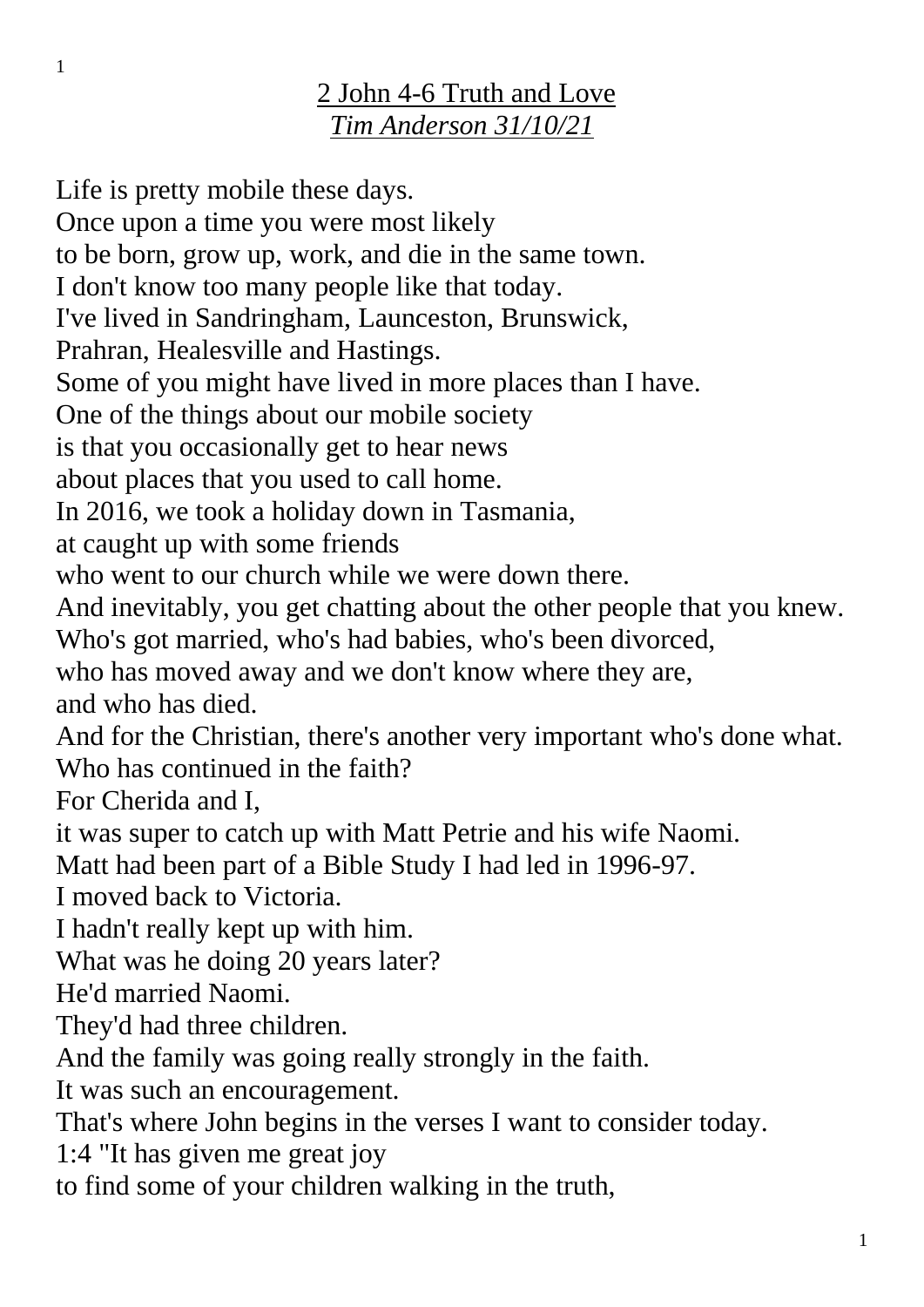## 2 John 4-6 Truth and Love *Tim Anderson 31/10/21*

Life is pretty mobile these days. Once upon a time you were most likely to be born, grow up, work, and die in the same town. I don't know too many people like that today. I've lived in Sandringham, Launceston, Brunswick, Prahran, Healesville and Hastings. Some of you might have lived in more places than I have. One of the things about our mobile society is that you occasionally get to hear news about places that you used to call home. In 2016, we took a holiday down in Tasmania, at caught up with some friends who went to our church while we were down there. And inevitably, you get chatting about the other people that you knew. Who's got married, who's had babies, who's been divorced, who has moved away and we don't know where they are, and who has died. And for the Christian, there's another very important who's done what. Who has continued in the faith? For Cherida and I, it was super to catch up with Matt Petrie and his wife Naomi. Matt had been part of a Bible Study I had led in 1996-97. I moved back to Victoria. I hadn't really kept up with him. What was he doing 20 years later? He'd married Naomi. They'd had three children. And the family was going really strongly in the faith. It was such an encouragement. That's where John begins in the verses I want to consider today. 1:4 "It has given me great joy to find some of your children walking in the truth,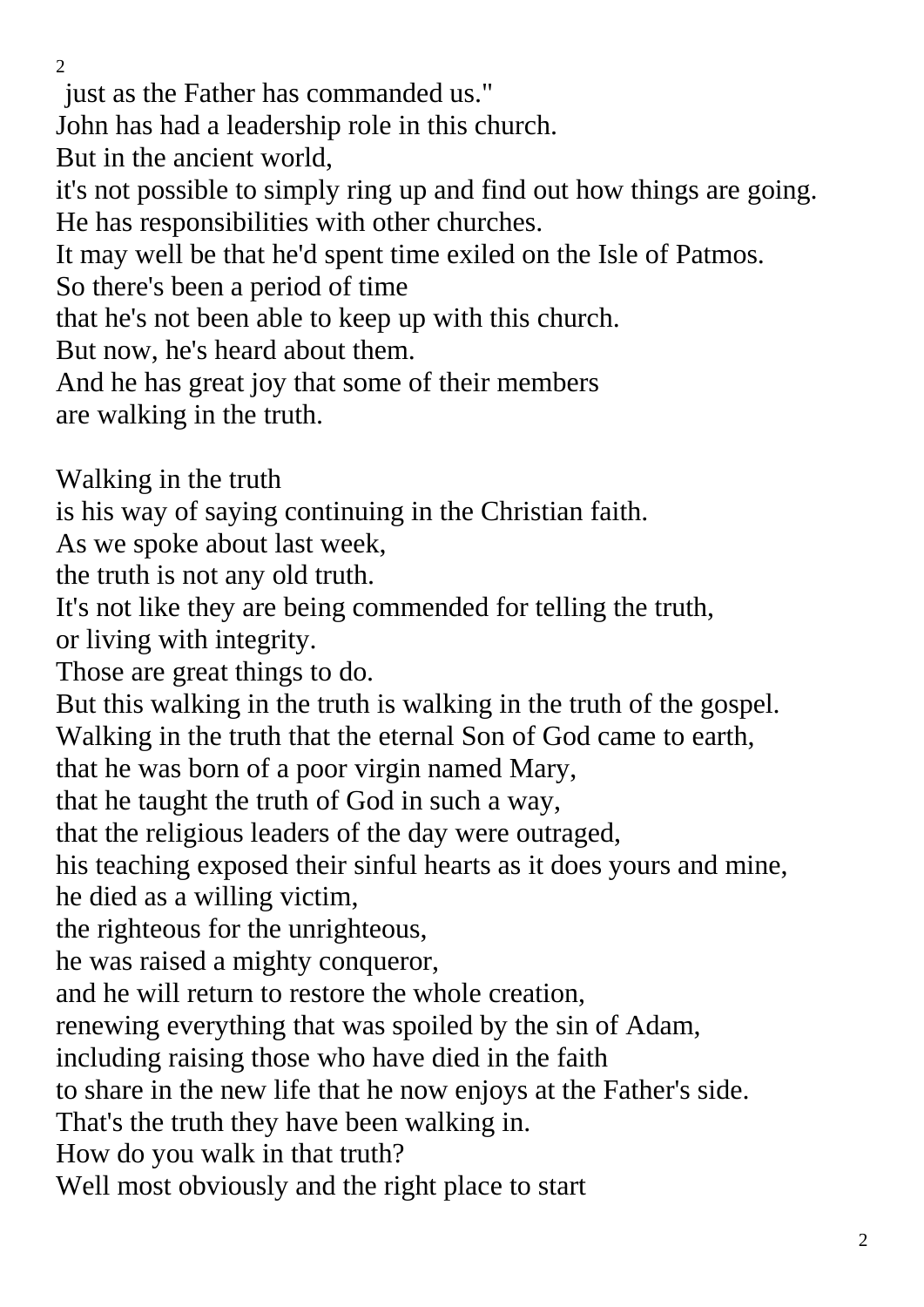$\overline{2}$ 

just as the Father has commanded us." John has had a leadership role in this church. But in the ancient world, it's not possible to simply ring up and find out how things are going. He has responsibilities with other churches. It may well be that he'd spent time exiled on the Isle of Patmos. So there's been a period of time that he's not been able to keep up with this church. But now, he's heard about them. And he has great joy that some of their members are walking in the truth. Walking in the truth is his way of saying continuing in the Christian faith. As we spoke about last week, the truth is not any old truth. It's not like they are being commended for telling the truth, or living with integrity. Those are great things to do. But this walking in the truth is walking in the truth of the gospel. Walking in the truth that the eternal Son of God came to earth, that he was born of a poor virgin named Mary, that he taught the truth of God in such a way, that the religious leaders of the day were outraged, his teaching exposed their sinful hearts as it does yours and mine, he died as a willing victim, the righteous for the unrighteous, he was raised a mighty conqueror, and he will return to restore the whole creation, renewing everything that was spoiled by the sin of Adam, including raising those who have died in the faith to share in the new life that he now enjoys at the Father's side. That's the truth they have been walking in. How do you walk in that truth? Well most obviously and the right place to start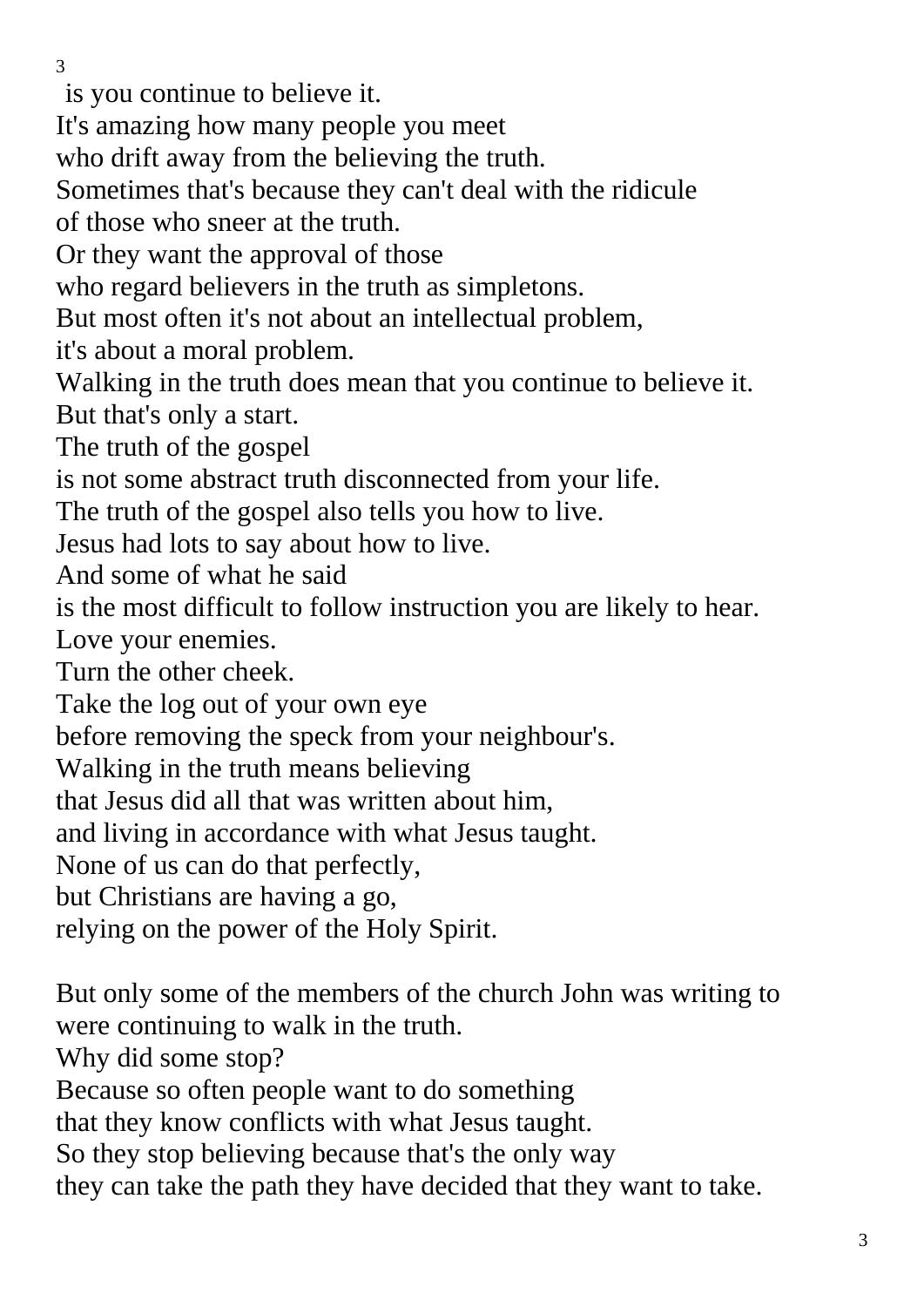is you continue to believe it.

It's amazing how many people you meet

who drift away from the believing the truth.

Sometimes that's because they can't deal with the ridicule

of those who sneer at the truth.

Or they want the approval of those

who regard believers in the truth as simpletons.

But most often it's not about an intellectual problem,

it's about a moral problem.

Walking in the truth does mean that you continue to believe it. But that's only a start.

The truth of the gospel

is not some abstract truth disconnected from your life.

The truth of the gospel also tells you how to live.

Jesus had lots to say about how to live.

And some of what he said

is the most difficult to follow instruction you are likely to hear.

Love your enemies.

Turn the other cheek.

Take the log out of your own eye

before removing the speck from your neighbour's.

Walking in the truth means believing

that Jesus did all that was written about him,

and living in accordance with what Jesus taught.

None of us can do that perfectly,

but Christians are having a go,

relying on the power of the Holy Spirit.

But only some of the members of the church John was writing to were continuing to walk in the truth.

Why did some stop?

Because so often people want to do something

that they know conflicts with what Jesus taught.

So they stop believing because that's the only way

they can take the path they have decided that they want to take.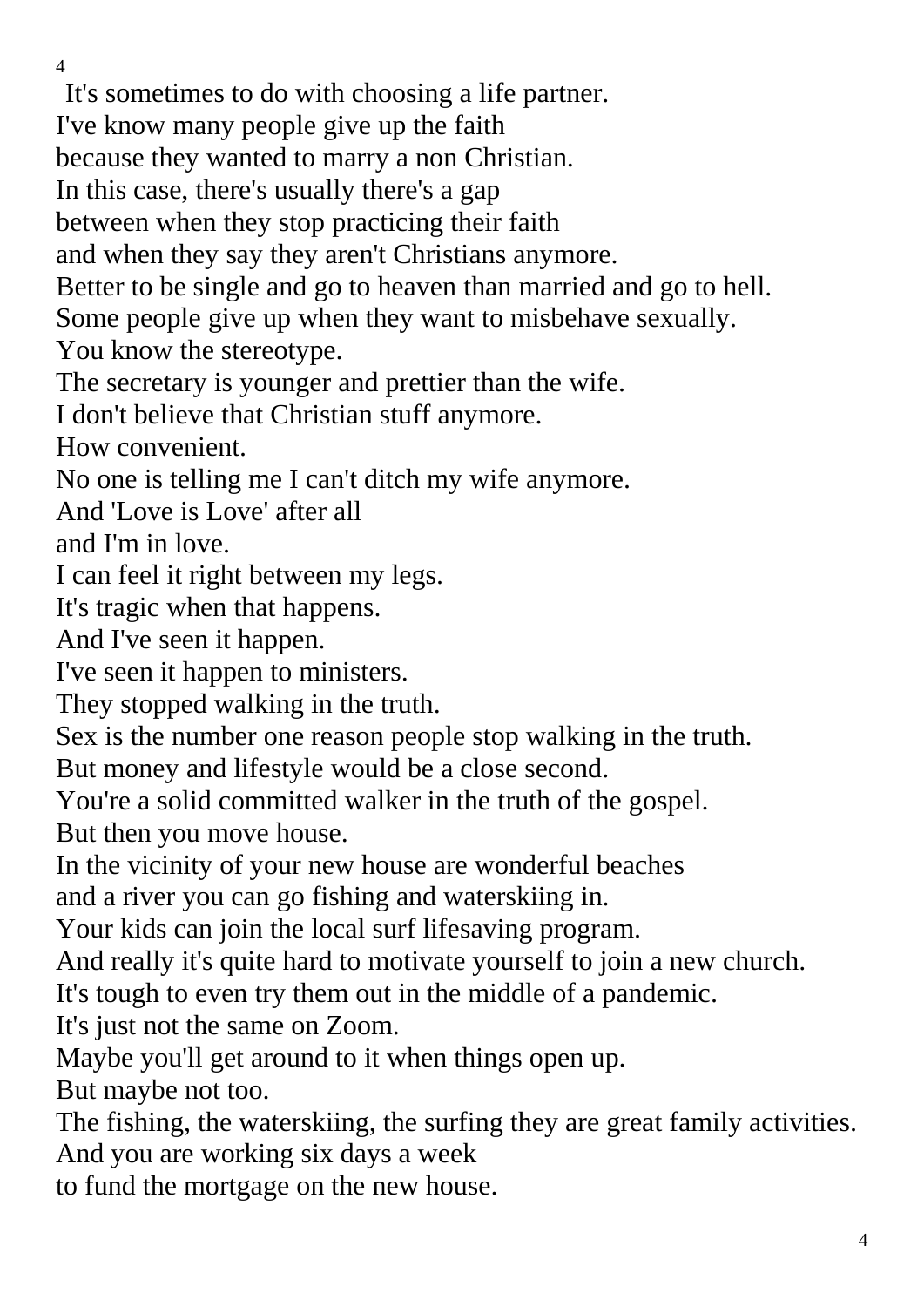It's sometimes to do with choosing a life partner.

I've know many people give up the faith

because they wanted to marry a non Christian.

In this case, there's usually there's a gap

between when they stop practicing their faith

and when they say they aren't Christians anymore.

Better to be single and go to heaven than married and go to hell.

Some people give up when they want to misbehave sexually.

You know the stereotype.

The secretary is younger and prettier than the wife.

I don't believe that Christian stuff anymore.

How convenient.

No one is telling me I can't ditch my wife anymore.

And 'Love is Love' after all

and I'm in love.

I can feel it right between my legs.

It's tragic when that happens.

And I've seen it happen.

I've seen it happen to ministers.

They stopped walking in the truth.

Sex is the number one reason people stop walking in the truth.

But money and lifestyle would be a close second.

You're a solid committed walker in the truth of the gospel. But then you move house.

In the vicinity of your new house are wonderful beaches

and a river you can go fishing and waterskiing in.

Your kids can join the local surf lifesaving program.

And really it's quite hard to motivate yourself to join a new church.

It's tough to even try them out in the middle of a pandemic.

It's just not the same on Zoom.

Maybe you'll get around to it when things open up.

But maybe not too.

The fishing, the waterskiing, the surfing they are great family activities. And you are working six days a week

to fund the mortgage on the new house.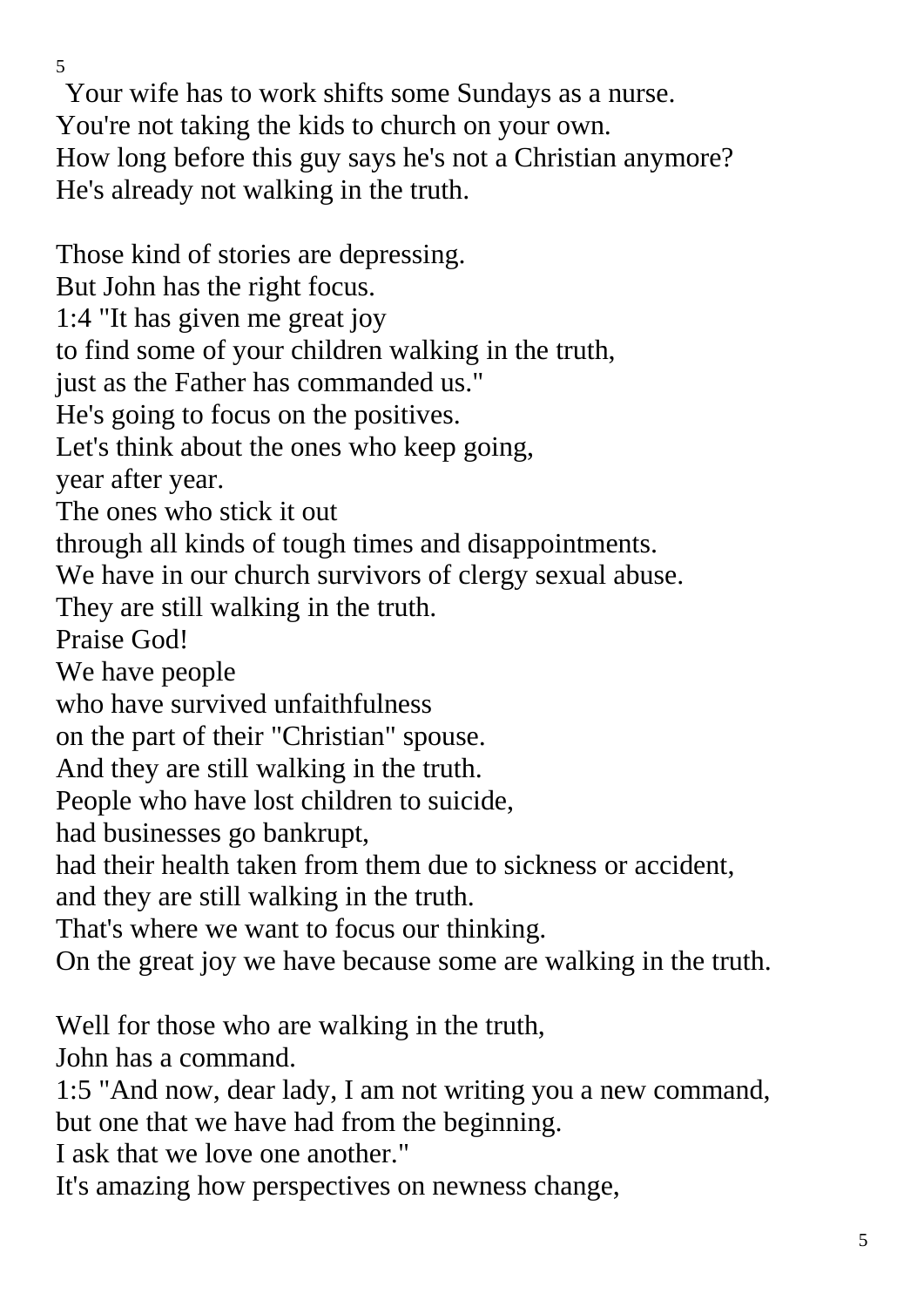Your wife has to work shifts some Sundays as a nurse. You're not taking the kids to church on your own. How long before this guy says he's not a Christian anymore? He's already not walking in the truth.

Those kind of stories are depressing. But John has the right focus. 1:4 "It has given me great joy to find some of your children walking in the truth, just as the Father has commanded us." He's going to focus on the positives. Let's think about the ones who keep going, year after year. The ones who stick it out through all kinds of tough times and disappointments. We have in our church survivors of clergy sexual abuse. They are still walking in the truth. Praise God! We have people who have survived unfaithfulness on the part of their "Christian" spouse. And they are still walking in the truth. People who have lost children to suicide, had businesses go bankrupt, had their health taken from them due to sickness or accident, and they are still walking in the truth. That's where we want to focus our thinking. On the great joy we have because some are walking in the truth. Well for those who are walking in the truth, John has a command. 1:5 "And now, dear lady, I am not writing you a new command,

but one that we have had from the beginning.

I ask that we love one another."

It's amazing how perspectives on newness change,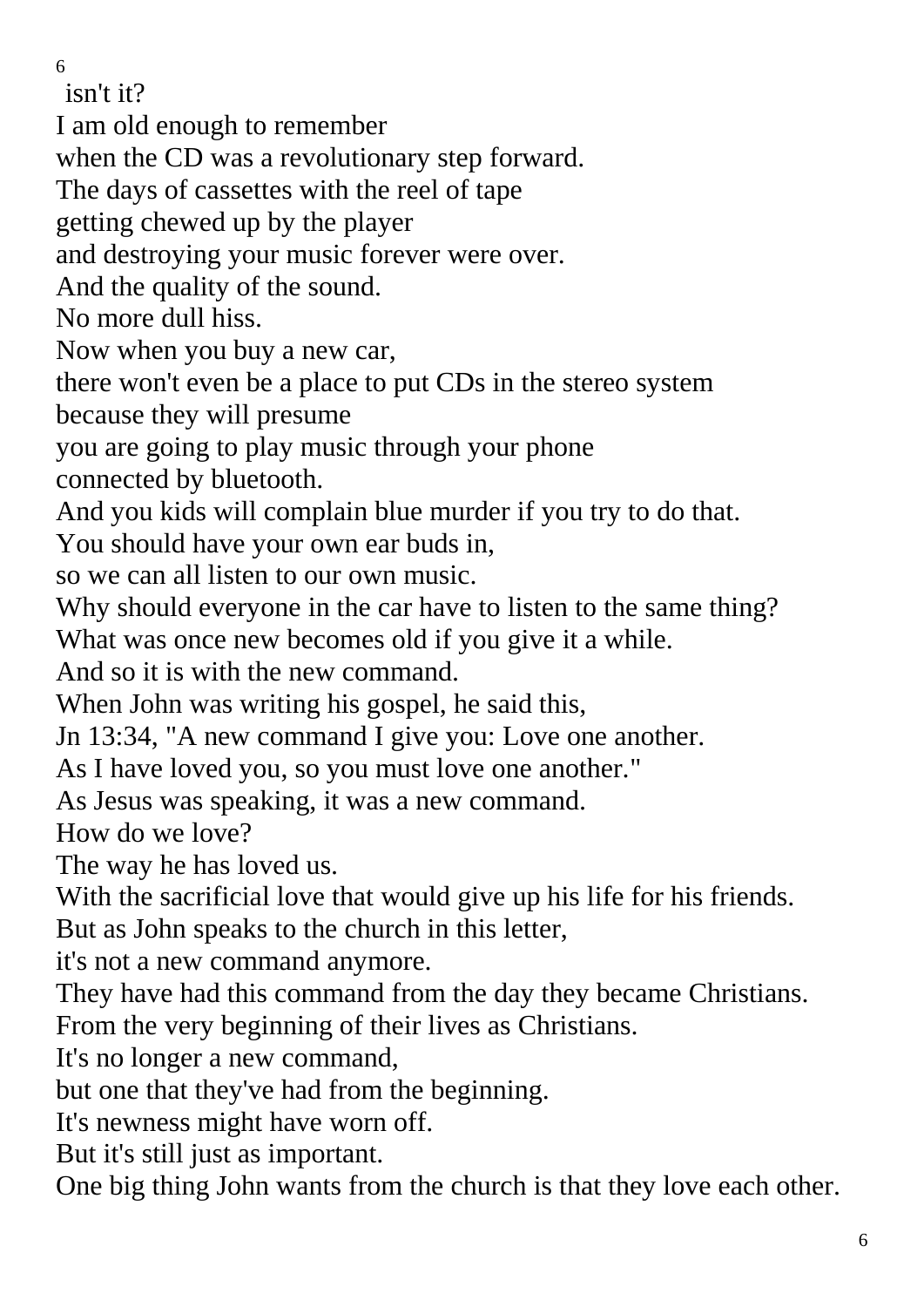isn't it?

I am old enough to remember

when the CD was a revolutionary step forward.

The days of cassettes with the reel of tape

getting chewed up by the player

and destroying your music forever were over.

And the quality of the sound.

No more dull hiss.

Now when you buy a new car,

there won't even be a place to put CDs in the stereo system

because they will presume

you are going to play music through your phone

connected by bluetooth.

And you kids will complain blue murder if you try to do that.

You should have your own ear buds in,

so we can all listen to our own music.

Why should everyone in the car have to listen to the same thing? What was once new becomes old if you give it a while.

And so it is with the new command.

When John was writing his gospel, he said this,

Jn 13:34, "A new command I give you: Love one another.

As I have loved you, so you must love one another."

As Jesus was speaking, it was a new command.

How do we love?

The way he has loved us.

With the sacrificial love that would give up his life for his friends.

But as John speaks to the church in this letter,

it's not a new command anymore.

They have had this command from the day they became Christians. From the very beginning of their lives as Christians.

It's no longer a new command,

but one that they've had from the beginning.

It's newness might have worn off.

But it's still just as important.

One big thing John wants from the church is that they love each other.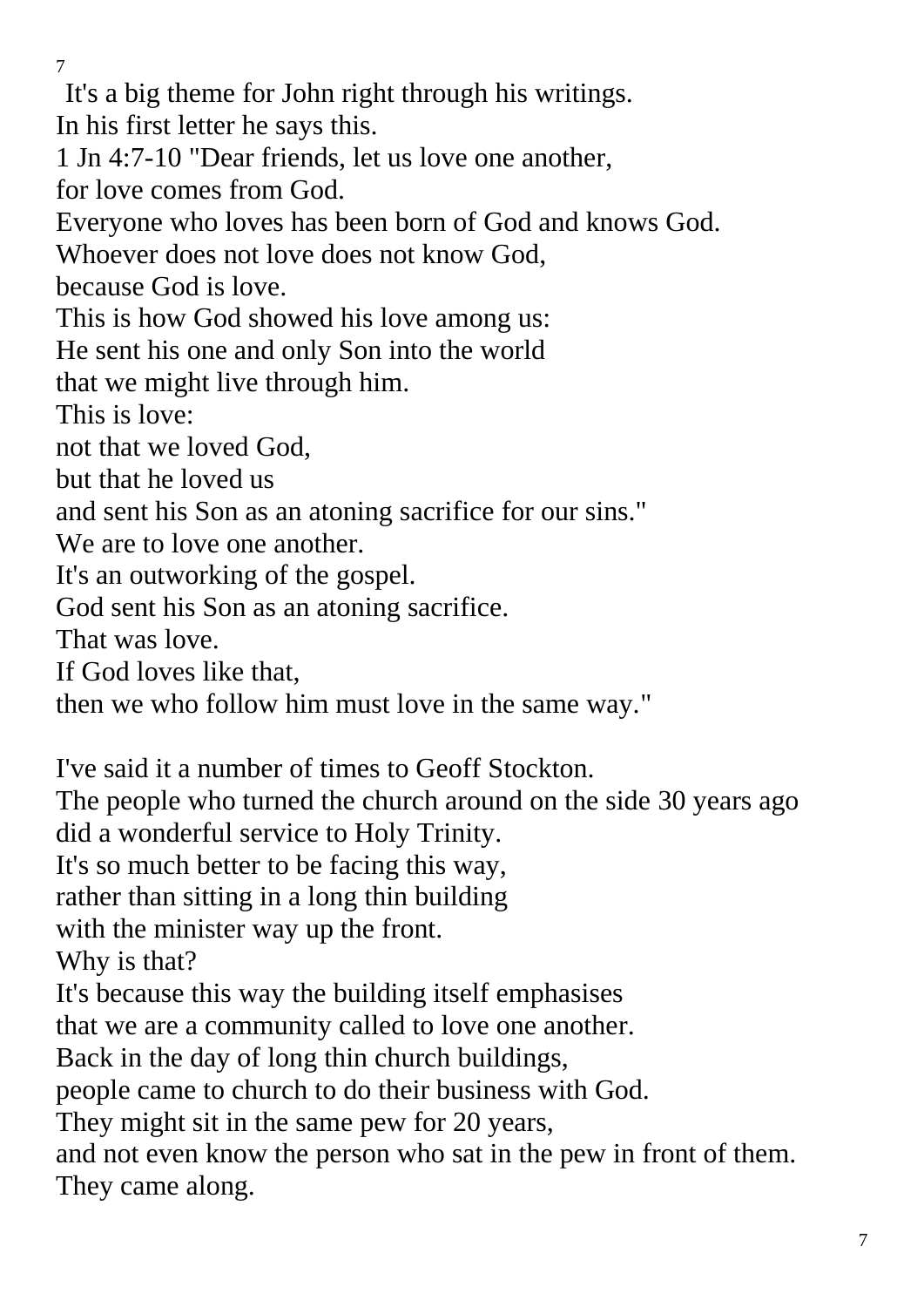It's a big theme for John right through his writings.

In his first letter he says this.

1 Jn 4:7-10 "Dear friends, let us love one another, for love comes from God.

Everyone who loves has been born of God and knows God.

Whoever does not love does not know God,

because God is love.

This is how God showed his love among us:

He sent his one and only Son into the world

that we might live through him.

This is love:

not that we loved God,

but that he loved us

and sent his Son as an atoning sacrifice for our sins."

We are to love one another.

It's an outworking of the gospel.

God sent his Son as an atoning sacrifice.

That was love.

If God loves like that,

then we who follow him must love in the same way."

I've said it a number of times to Geoff Stockton.

The people who turned the church around on the side 30 years ago did a wonderful service to Holy Trinity.

It's so much better to be facing this way,

rather than sitting in a long thin building

with the minister way up the front.

Why is that?

It's because this way the building itself emphasises

that we are a community called to love one another.

Back in the day of long thin church buildings,

people came to church to do their business with God.

They might sit in the same pew for 20 years,

and not even know the person who sat in the pew in front of them. They came along.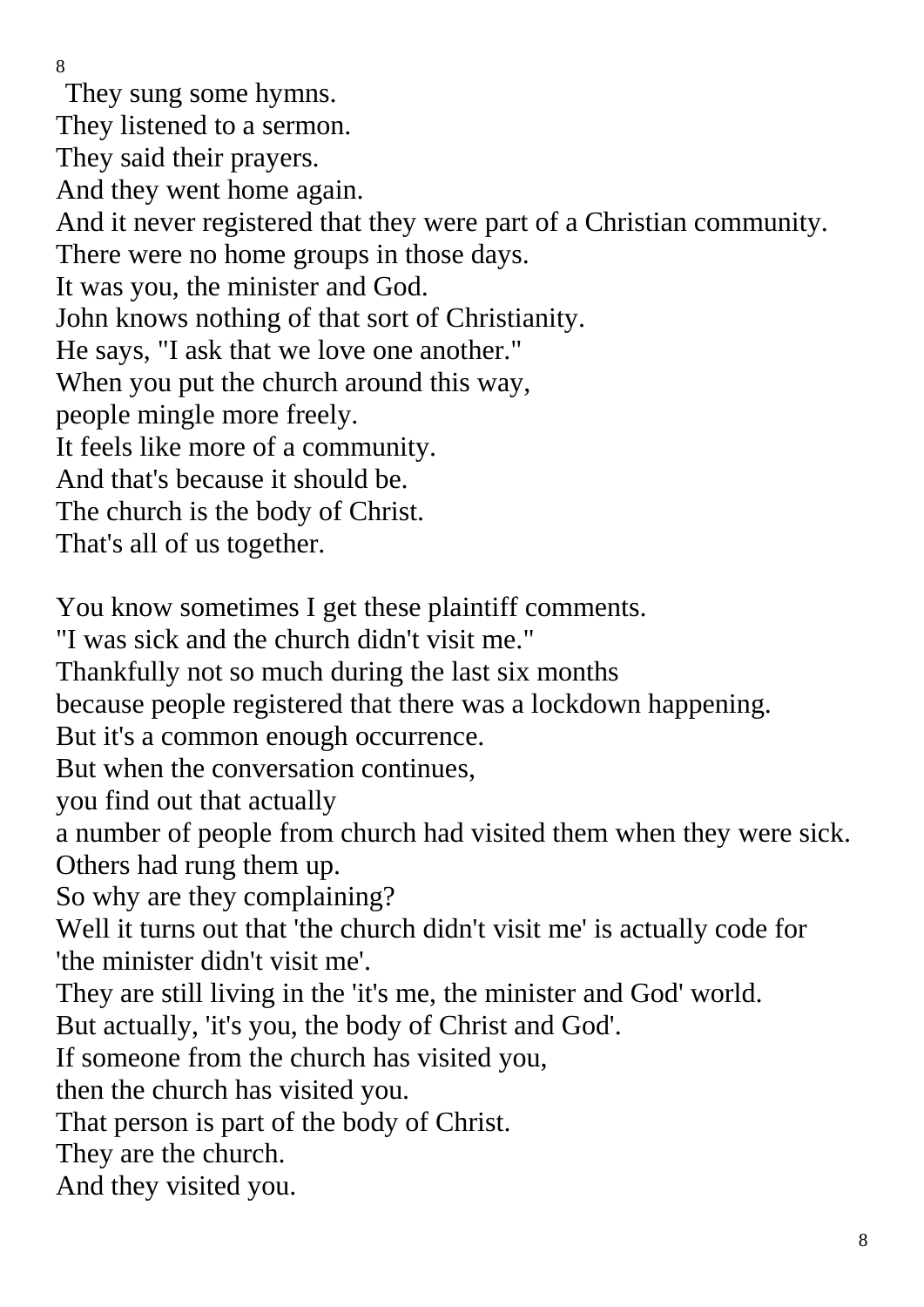They sung some hymns. They listened to a sermon. They said their prayers. And they went home again. And it never registered that they were part of a Christian community. There were no home groups in those days. It was you, the minister and God. John knows nothing of that sort of Christianity. He says, "I ask that we love one another." When you put the church around this way, people mingle more freely. It feels like more of a community. And that's because it should be. The church is the body of Christ. That's all of us together. You know sometimes I get these plaintiff comments. "I was sick and the church didn't visit me." Thankfully not so much during the last six months because people registered that there was a lockdown happening. But it's a common enough occurrence. But when the conversation continues, you find out that actually a number of people from church had visited them when they were sick. Others had rung them up. So why are they complaining? Well it turns out that 'the church didn't visit me' is actually code for 'the minister didn't visit me'. They are still living in the 'it's me, the minister and God' world. But actually, 'it's you, the body of Christ and God'. If someone from the church has visited you,

then the church has visited you.

That person is part of the body of Christ.

They are the church.

And they visited you.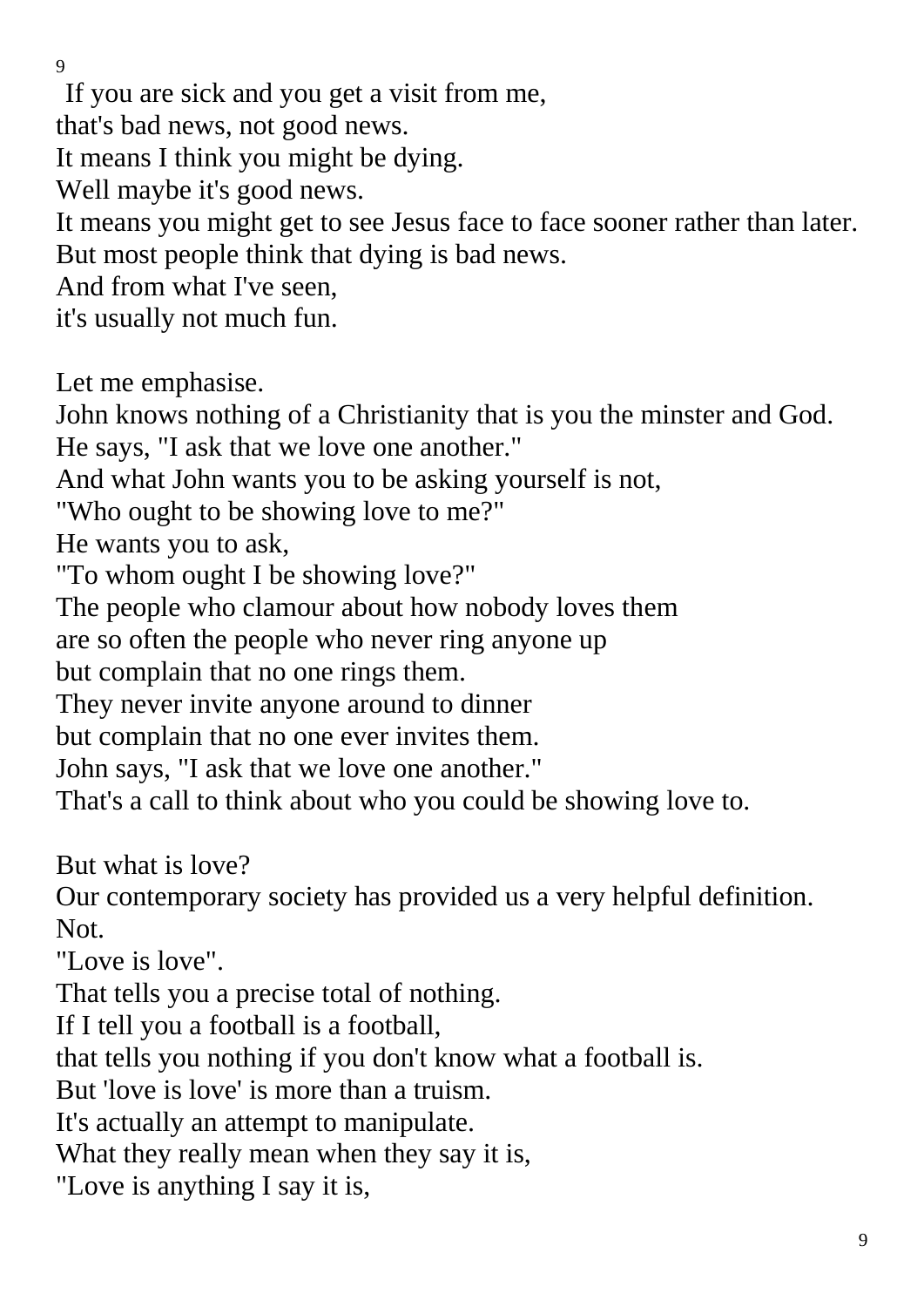If you are sick and you get a visit from me,

that's bad news, not good news.

It means I think you might be dying.

Well maybe it's good news.

It means you might get to see Jesus face to face sooner rather than later. But most people think that dying is bad news.

And from what I've seen,

it's usually not much fun.

Let me emphasise.

John knows nothing of a Christianity that is you the minster and God.

He says, "I ask that we love one another."

And what John wants you to be asking yourself is not,

"Who ought to be showing love to me?"

He wants you to ask,

"To whom ought I be showing love?"

The people who clamour about how nobody loves them

are so often the people who never ring anyone up

but complain that no one rings them.

They never invite anyone around to dinner

but complain that no one ever invites them.

John says, "I ask that we love one another."

That's a call to think about who you could be showing love to.

But what is love?

Our contemporary society has provided us a very helpful definition. Not.

"Love is love".

That tells you a precise total of nothing.

If I tell you a football is a football,

that tells you nothing if you don't know what a football is.

But 'love is love' is more than a truism.

It's actually an attempt to manipulate.

What they really mean when they say it is,

"Love is anything I say it is,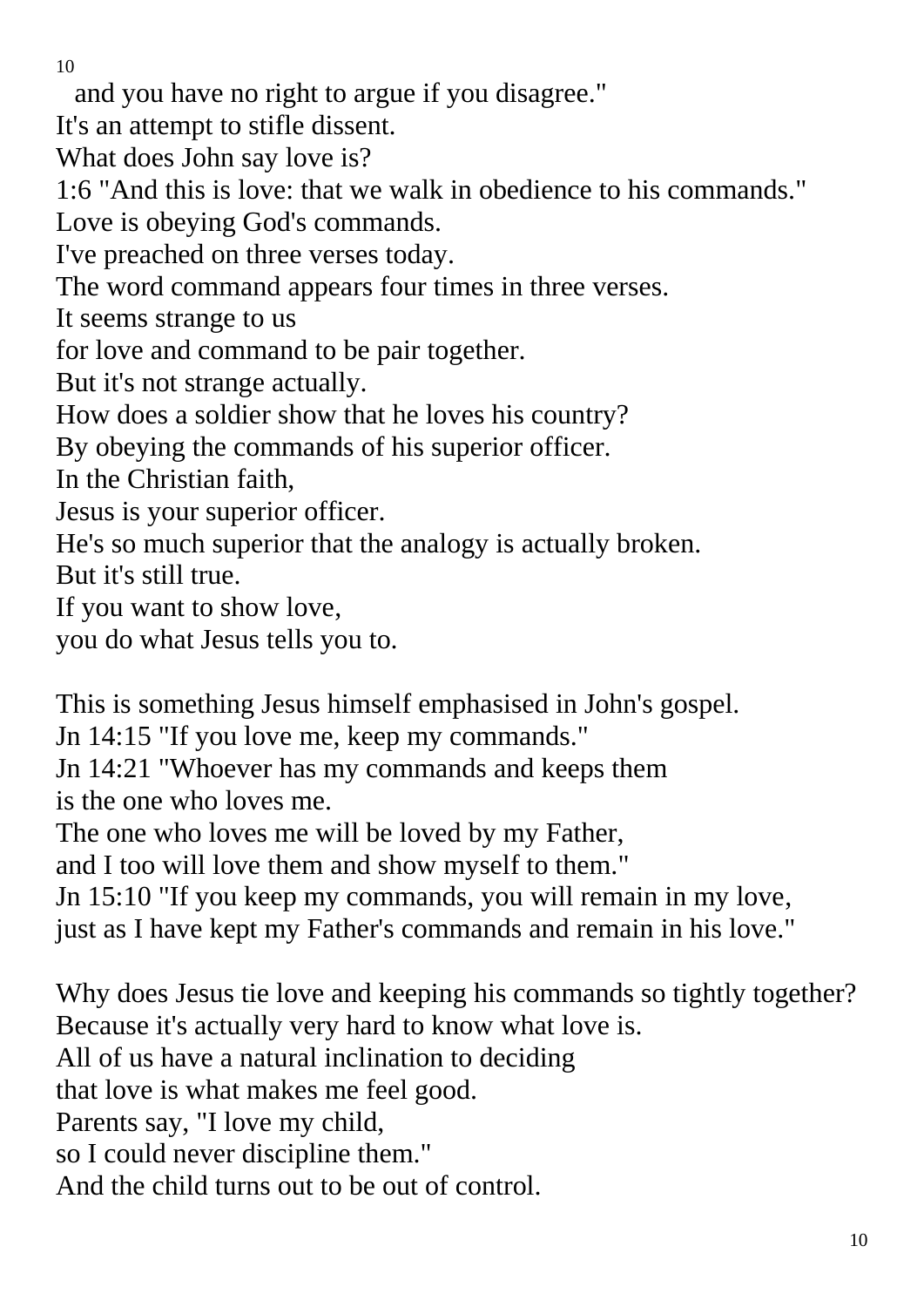and you have no right to argue if you disagree."

It's an attempt to stifle dissent.

What does John say love is?

1:6 "And this is love: that we walk in obedience to his commands."

Love is obeying God's commands.

I've preached on three verses today.

The word command appears four times in three verses.

It seems strange to us

for love and command to be pair together.

But it's not strange actually.

How does a soldier show that he loves his country?

By obeying the commands of his superior officer.

In the Christian faith,

Jesus is your superior officer.

He's so much superior that the analogy is actually broken.

But it's still true.

If you want to show love,

you do what Jesus tells you to.

This is something Jesus himself emphasised in John's gospel.

Jn 14:15 "If you love me, keep my commands."

Jn 14:21 "Whoever has my commands and keeps them is the one who loves me.

The one who loves me will be loved by my Father,

and I too will love them and show myself to them."

Jn 15:10 "If you keep my commands, you will remain in my love,

just as I have kept my Father's commands and remain in his love."

Why does Jesus tie love and keeping his commands so tightly together? Because it's actually very hard to know what love is. All of us have a natural inclination to deciding that love is what makes me feel good. Parents say, "I love my child, so I could never discipline them." And the child turns out to be out of control.